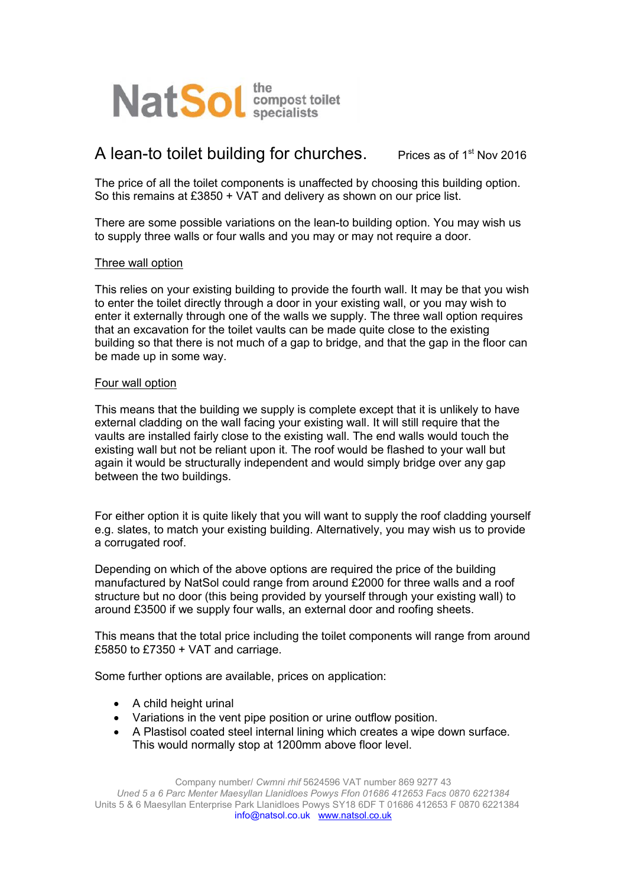

## **A** lean-to toilet building for churches. Prices as of 1st Nov 2016

The price of all the toilet components is unaffected by choosing this building option. So this remains at £3850 + VAT and delivery as shown on our price list.

There are some possible variations on the lean-to building option. You may wish us to supply three walls or four walls and you may or may not require a door.

## Three wall option

This relies on your existing building to provide the fourth wall. It may be that you wish to enter the toilet directly through a door in your existing wall, or you may wish to enter it externally through one of the walls we supply. The three wall option requires that an excavation for the toilet vaults can be made quite close to the existing building so that there is not much of a gap to bridge, and that the gap in the floor can be made up in some way.

## Four wall option

This means that the building we supply is complete except that it is unlikely to have external cladding on the wall facing your existing wall. It will still require that the vaults are installed fairly close to the existing wall. The end walls would touch the existing wall but not be reliant upon it. The roof would be flashed to your wall but again it would be structurally independent and would simply bridge over any gap between the two buildings.

For either option it is quite likely that you will want to supply the roof cladding yourself e.g. slates, to match your existing building. Alternatively, you may wish us to provide a corrugated roof.

Depending on which of the above options are required the price of the building manufactured by NatSol could range from around £2000 for three walls and a roof structure but no door (this being provided by yourself through your existing wall) to around £3500 if we supply four walls, an external door and roofing sheets.

This means that the total price including the toilet components will range from around £5850 to £7350 + VAT and carriage.

Some further options are available, prices on application:

- A child height urinal
- Variations in the vent pipe position or urine outflow position.
- A Plastisol coated steel internal lining which creates a wipe down surface. This would normally stop at 1200mm above floor level.